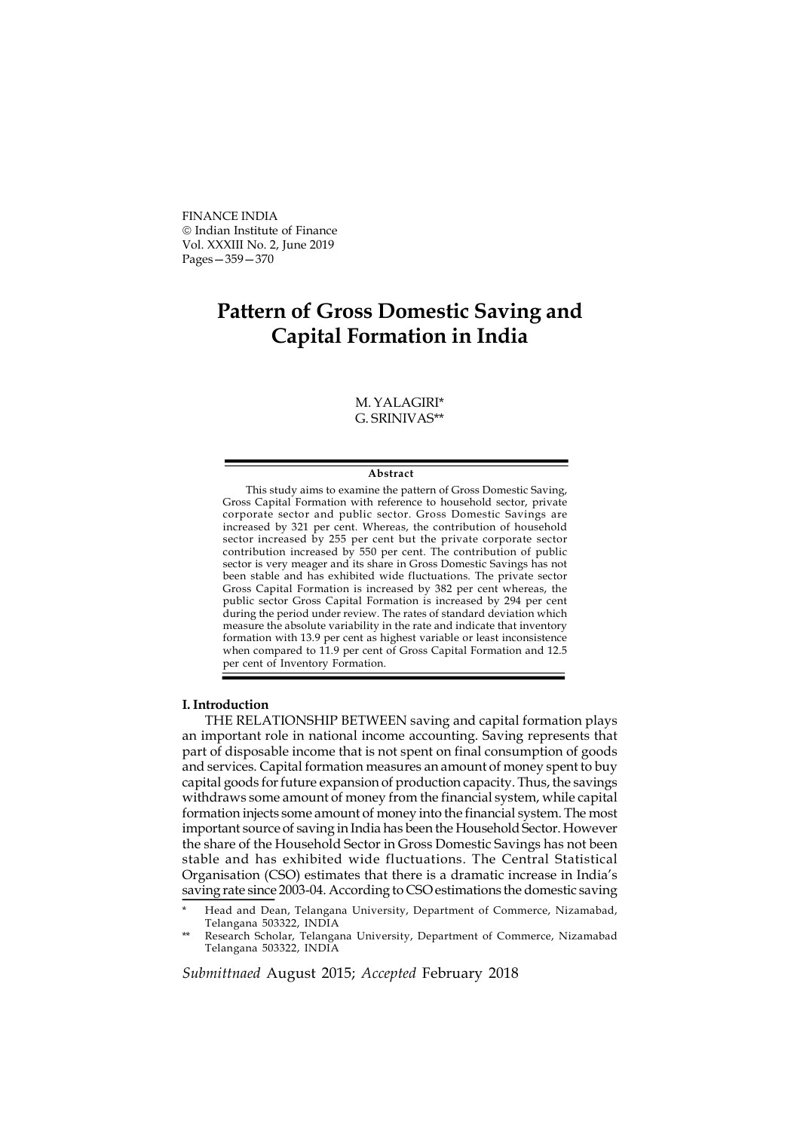FINANCE INDIA Indian Institute of Finance Vol. XXXIII No. 2, June 2019 Pages—359—370

# Pattern of Gross Domestic Saving and Capital Formation in India

# M. YALAGIRI\* G. SRINIVAS\*\*

#### Abstract

This study aims to examine the pattern of Gross Domestic Saving, Gross Capital Formation with reference to household sector, private corporate sector and public sector. Gross Domestic Savings are increased by 321 per cent. Whereas, the contribution of household sector increased by 255 per cent but the private corporate sector contribution increased by 550 per cent. The contribution of public sector is very meager and its share in Gross Domestic Savings has not been stable and has exhibited wide fluctuations. The private sector Gross Capital Formation is increased by 382 per cent whereas, the public sector Gross Capital Formation is increased by 294 per cent during the period under review. The rates of standard deviation which measure the absolute variability in the rate and indicate that inventory formation with 13.9 per cent as highest variable or least inconsistence when compared to 11.9 per cent of Gross Capital Formation and 12.5 per cent of Inventory Formation.

## I. Introduction

THE RELATIONSHIP BETWEEN saving and capital formation plays an important role in national income accounting. Saving represents that part of disposable income that is not spent on final consumption of goods and services. Capital formation measures an amount of money spent to buy capital goods for future expansion of production capacity. Thus, the savings withdraws some amount of money from the financial system, while capital formation injects some amount of money into the financial system. The most important source of saving in India has been the Household Sector. However the share of the Household Sector in Gross Domestic Savings has not been stable and has exhibited wide fluctuations. The Central Statistical Organisation (CSO) estimates that there is a dramatic increase in India's saving rate since 2003-04. According to CSO estimations the domestic saving

Submittnaed August 2015; Accepted February 2018

Head and Dean, Telangana University, Department of Commerce, Nizamabad, Telangana 503322, INDIA

Research Scholar, Telangana University, Department of Commerce, Nizamabad Telangana 503322, INDIA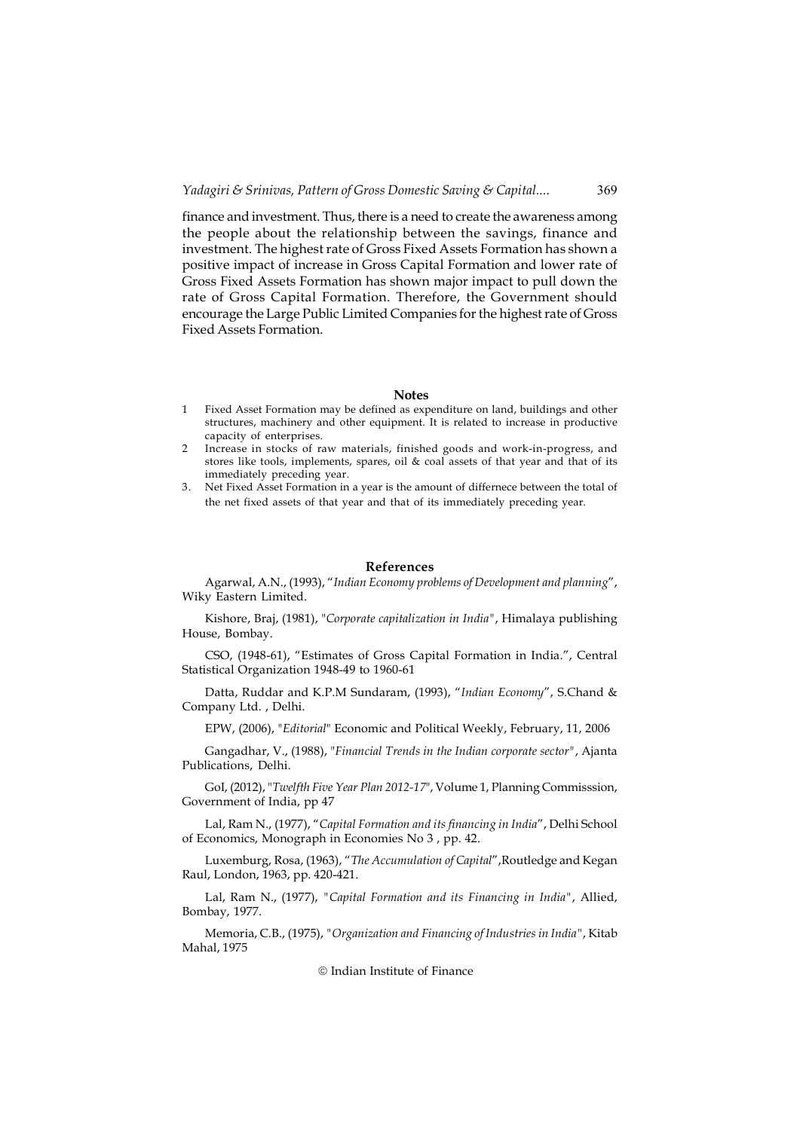finance and investment. Thus, there is a need to create the awareness among the people about the relationship between the savings, finance and investment. The highest rate of Gross Fixed Assets Formation has shown a positive impact of increase in Gross Capital Formation and lower rate of Gross Fixed Assets Formation has shown major impact to pull down the rate of Gross Capital Formation. Therefore, the Government should encourage the Large Public Limited Companies for the highest rate of Gross Fixed Assets Formation.

## **Notes**

- 1 Fixed Asset Formation may be defined as expenditure on land, buildings and other structures, machinery and other equipment. It is related to increase in productive capacity of enterprises.
- Increase in stocks of raw materials, finished goods and work-in-progress, and stores like tools, implements, spares, oil & coal assets of that year and that of its immediately preceding year.
- 3. Net Fixed Asset Formation in a year is the amount of differnece between the total of the net fixed assets of that year and that of its immediately preceding year.

#### References

Agarwal, A.N., (1993), "Indian Economy problems of Development and planning", Wiky Eastern Limited.

Kishore, Braj, (1981), "Corporate capitalization in India", Himalaya publishing House, Bombay.

CSO, (1948-61), "Estimates of Gross Capital Formation in India.", Central Statistical Organization 1948-49 to 1960-61

Datta, Ruddar and K.P.M Sundaram, (1993), "Indian Economy", S.Chand & Company Ltd. , Delhi.

EPW, (2006), "Editorial" Economic and Political Weekly, February, 11, 2006

Gangadhar, V., (1988), "Financial Trends in the Indian corporate sector", Ajanta Publications, Delhi.

GoI, (2012), "Twelfth Five Year Plan 2012-17", Volume 1, Planning Commisssion, Government of India, pp 47

Lal, Ram N., (1977), "Capital Formation and its financing in India", Delhi School of Economics, Monograph in Economies No 3 , pp. 42.

Luxemburg, Rosa, (1963), "The Accumulation of Capital",Routledge and Kegan Raul, London, 1963, pp. 420-421.

Lal, Ram N., (1977), "Capital Formation and its Financing in India", Allied, Bombay, 1977.

Memoria, C.B., (1975), "Organization and Financing of Industries in India", Kitab Mahal, 1975

## © Indian Institute of Finance